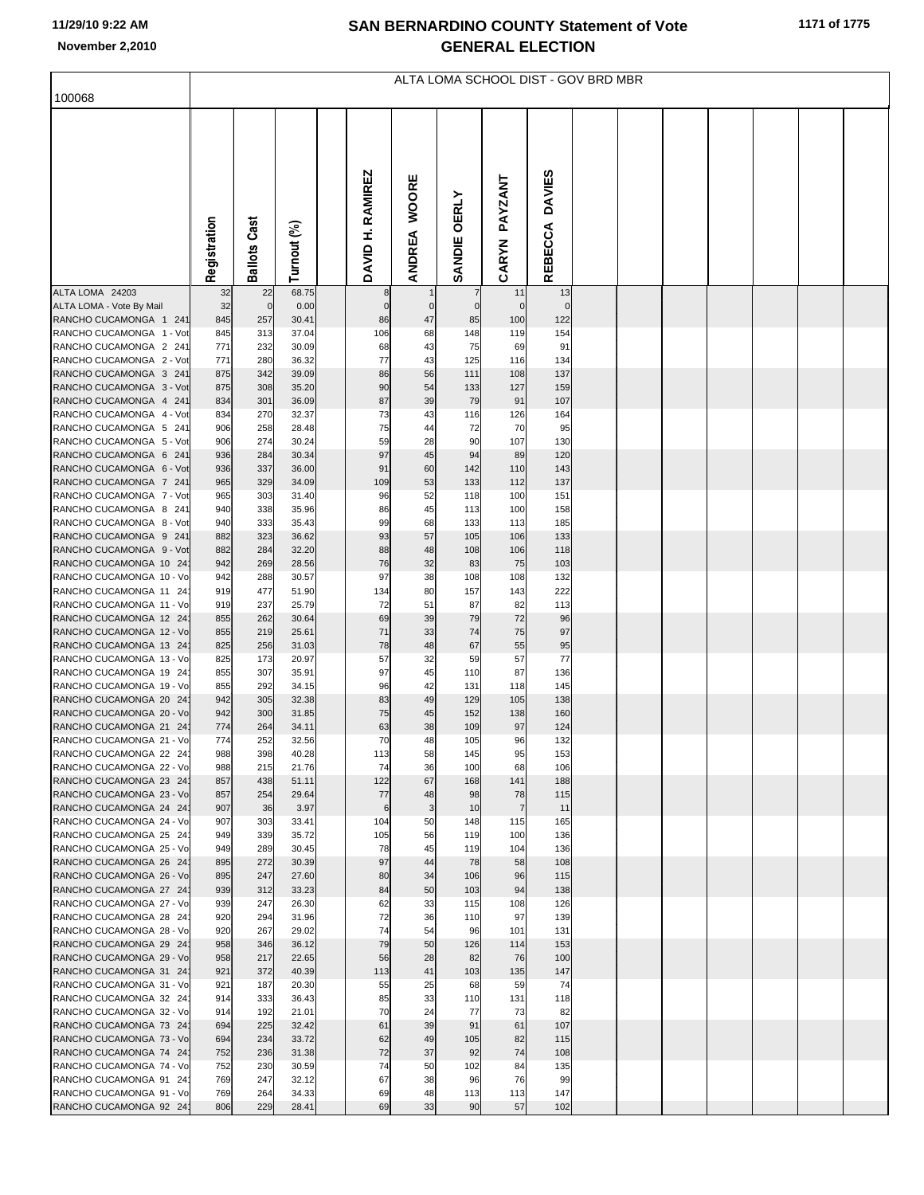## **11/29/10 9:22 AM**

## **SAN BERNARDINO COUNTY Statement of Vote November 2,2010 GENERAL ELECTION**

|                                                    | ALTA LOMA SCHOOL DIST - GOV BRD MBR |                     |                |  |                         |                        |                      |                    |                          |  |  |  |  |  |
|----------------------------------------------------|-------------------------------------|---------------------|----------------|--|-------------------------|------------------------|----------------------|--------------------|--------------------------|--|--|--|--|--|
| 100068                                             |                                     |                     |                |  |                         |                        |                      |                    |                          |  |  |  |  |  |
|                                                    | Registration                        | <b>Ballots Cast</b> | Turnout (%)    |  | <b>DAVID H. RAMIREZ</b> | <b>WOORE</b><br>ANDREA | SANDIE OERLY         | PAYZANT<br>CARYN   | <b>DAVIES</b><br>REBECCA |  |  |  |  |  |
| ALTA LOMA 24203                                    | 32                                  | 22                  | 68.75          |  | 8                       |                        | $\overline{7}$       | 11                 | 13                       |  |  |  |  |  |
| ALTA LOMA - Vote By Mail<br>RANCHO CUCAMONGA 1 241 | 32<br>845                           | $\mathbf 0$<br>257  | 0.00<br>30.41  |  | $\overline{0}$<br>86    | 47                     | $\overline{0}$<br>85 | $\mathbf 0$<br>100 | $\mathbf 0$<br>122       |  |  |  |  |  |
| RANCHO CUCAMONGA 1 - Vot                           | 845                                 | 313                 | 37.04          |  | 106                     | 68                     | 148                  | 119                | 154                      |  |  |  |  |  |
| RANCHO CUCAMONGA 2 241                             | 771                                 | 232                 | 30.09          |  | 68                      | 43                     | 75                   | 69                 | 91                       |  |  |  |  |  |
| RANCHO CUCAMONGA 2 - Vot                           | 771                                 | 280                 | 36.32          |  | 77                      | 43                     | 125                  | 116                | 134                      |  |  |  |  |  |
| RANCHO CUCAMONGA 3 241                             | 875                                 | 342                 | 39.09          |  | 86                      | 56                     | 111                  | 108                | 137                      |  |  |  |  |  |
| RANCHO CUCAMONGA 3 - Vot                           | 875                                 | 308                 | 35.20          |  | 90                      | 54                     | 133                  | 127                | 159                      |  |  |  |  |  |
| RANCHO CUCAMONGA 4 241<br>RANCHO CUCAMONGA 4 - Vot | 834<br>834                          | 301<br>270          | 36.09<br>32.37 |  | 87<br>73                | 39<br>43               | 79<br>116            | 91<br>126          | 107<br>164               |  |  |  |  |  |
| RANCHO CUCAMONGA 5 241                             | 906                                 | 258                 | 28.48          |  | 75                      | 44                     | 72                   | 70                 | 95                       |  |  |  |  |  |
| RANCHO CUCAMONGA 5 - Vot                           | 906                                 | 274                 | 30.24          |  | 59                      | 28                     | 90                   | 107                | 130                      |  |  |  |  |  |
| RANCHO CUCAMONGA 6 241                             | 936                                 | 284                 | 30.34          |  | 97                      | 45                     | 94                   | 89                 | 120                      |  |  |  |  |  |
| RANCHO CUCAMONGA 6 - Vot                           | 936                                 | 337                 | 36.00          |  | 91                      | 60                     | 142                  | 110                | 143                      |  |  |  |  |  |
| RANCHO CUCAMONGA 7 241<br>RANCHO CUCAMONGA 7 - Vot | 965<br>965                          | 329<br>303          | 34.09<br>31.40 |  | 109<br>96               | 53<br>52               | 133<br>118           | 112<br>100         | 137<br>151               |  |  |  |  |  |
| RANCHO CUCAMONGA 8 241                             | 940                                 | 338                 | 35.96          |  | 86                      | 45                     | 113                  | 100                | 158                      |  |  |  |  |  |
| RANCHO CUCAMONGA 8 - Vot                           | 940                                 | 333                 | 35.43          |  | 99                      | 68                     | 133                  | 113                | 185                      |  |  |  |  |  |
| RANCHO CUCAMONGA 9 241                             | 882                                 | 323                 | 36.62          |  | 93                      | 57                     | 105                  | 106                | 133                      |  |  |  |  |  |
| RANCHO CUCAMONGA 9 - Vot                           | 882                                 | 284                 | 32.20          |  | 88                      | 48                     | 108                  | 106                | 118                      |  |  |  |  |  |
| RANCHO CUCAMONGA 10 24<br>RANCHO CUCAMONGA 10 - Vo | 942<br>942                          | 269<br>288          | 28.56<br>30.57 |  | 76<br>97                | 32<br>38               | 83<br>108            | 75<br>108          | 103<br>132               |  |  |  |  |  |
| RANCHO CUCAMONGA 11 24                             | 919                                 | 477                 | 51.90          |  | 134                     | 80                     | 157                  | 143                | 222                      |  |  |  |  |  |
| RANCHO CUCAMONGA 11 - Vo                           | 919                                 | 237                 | 25.79          |  | 72                      | 51                     | 87                   | 82                 | 113                      |  |  |  |  |  |
| RANCHO CUCAMONGA 12 24                             | 855                                 | 262                 | 30.64          |  | 69                      | 39                     | 79                   | 72                 | 96                       |  |  |  |  |  |
| RANCHO CUCAMONGA 12 - Vo<br>RANCHO CUCAMONGA 13 24 | 855<br>825                          | 219<br>256          | 25.61<br>31.03 |  | 71<br>78                | 33<br>48               | 74<br>67             | 75<br>55           | 97<br>95                 |  |  |  |  |  |
| RANCHO CUCAMONGA 13 - Vo                           | 825                                 | 173                 | 20.97          |  | 57                      | 32                     | 59                   | 57                 | 77                       |  |  |  |  |  |
| RANCHO CUCAMONGA 19 24                             | 855                                 | 307                 | 35.91          |  | 97                      | 45                     | 110                  | 87                 | 136                      |  |  |  |  |  |
| RANCHO CUCAMONGA 19 - Vo                           | 855                                 | 292                 | 34.15          |  | 96                      | 42                     | 131                  | 118                | 145                      |  |  |  |  |  |
| RANCHO CUCAMONGA 20 24                             | 942                                 | 305                 | 32.38          |  | 83                      | 49                     | 129                  | 105                | 138                      |  |  |  |  |  |
| RANCHO CUCAMONGA 20 - Vo<br>RANCHO CUCAMONGA 21 24 | 942<br>774                          | 300<br>264          | 31.85<br>34.11 |  | 75<br>63                | 45<br>38               | 152<br>109           | 138<br>97          | 160<br>124               |  |  |  |  |  |
| RANCHO CUCAMONGA 21 - Vo                           | 774                                 | 252                 | 32.56          |  | 70                      | 48                     | 105                  | 96                 | 132                      |  |  |  |  |  |
| RANCHO CUCAMONGA 22 24                             | 988                                 | 398                 | 40.28          |  | 113                     | 58                     | 145                  | 95                 | 153                      |  |  |  |  |  |
| RANCHO CUCAMONGA 22 - Vo                           | 988                                 | 215                 | 21.76          |  | 74                      | 36                     | 100                  | 68                 | 106                      |  |  |  |  |  |
| RANCHO CUCAMONGA 23 24<br>RANCHO CUCAMONGA 23 - Vo | 857<br>857                          | 438<br>254          | 51.11<br>29.64 |  | 122<br>77               | 67<br>48               | 168<br>98            | 141<br>78          | 188<br>115               |  |  |  |  |  |
| RANCHO CUCAMONGA 24 24                             | 907                                 | 36                  | 3.97           |  | 6                       | 3                      | 10                   | $\overline{7}$     | 11                       |  |  |  |  |  |
| RANCHO CUCAMONGA 24 - Vo                           | 907                                 | 303                 | 33.41          |  | 104                     | 50                     | 148                  | 115                | 165                      |  |  |  |  |  |
| RANCHO CUCAMONGA 25 24                             | 949                                 | 339                 | 35.72          |  | 105                     | 56                     | 119                  | 100                | 136                      |  |  |  |  |  |
| RANCHO CUCAMONGA 25 - Vo                           | 949                                 | 289                 | 30.45          |  | 78                      | 45                     | 119                  | 104                | 136                      |  |  |  |  |  |
| RANCHO CUCAMONGA 26 24<br>RANCHO CUCAMONGA 26 - Vo | 895<br>895                          | 272<br>247          | 30.39<br>27.60 |  | 97<br>80                | 44<br>34               | 78<br>106            | 58<br>96           | 108<br>115               |  |  |  |  |  |
| RANCHO CUCAMONGA 27 24                             | 939                                 | 312                 | 33.23          |  | 84                      | 50                     | 103                  | 94                 | 138                      |  |  |  |  |  |
| RANCHO CUCAMONGA 27 - Vo                           | 939                                 | 247                 | 26.30          |  | 62                      | 33                     | 115                  | 108                | 126                      |  |  |  |  |  |
| RANCHO CUCAMONGA 28 24                             | 920                                 | 294                 | 31.96          |  | 72                      | 36                     | 110                  | 97                 | 139                      |  |  |  |  |  |
| RANCHO CUCAMONGA 28 - Vo                           | 920                                 | 267                 | 29.02          |  | 74                      | 54                     | 96                   | 101                | 131                      |  |  |  |  |  |
| RANCHO CUCAMONGA 29 24<br>RANCHO CUCAMONGA 29 - Vo | 958<br>958                          | 346<br>217          | 36.12<br>22.65 |  | 79<br>56                | 50<br>28               | 126<br>82            | 114<br>76          | 153<br>100               |  |  |  |  |  |
| RANCHO CUCAMONGA 31 24                             | 921                                 | 372                 | 40.39          |  | 113                     | 41                     | 103                  | 135                | 147                      |  |  |  |  |  |
| RANCHO CUCAMONGA 31 - Vo                           | 921                                 | 187                 | 20.30          |  | 55                      | 25                     | 68                   | 59                 | 74                       |  |  |  |  |  |
| RANCHO CUCAMONGA 32 24                             | 914                                 | 333                 | 36.43          |  | 85                      | 33                     | 110                  | 131                | 118                      |  |  |  |  |  |
| RANCHO CUCAMONGA 32 - Vo<br>RANCHO CUCAMONGA 73 24 | 914<br>694                          | 192<br>225          | 21.01<br>32.42 |  | 70<br>61                | 24<br>39               | 77<br>91             | 73<br>61           | 82<br>107                |  |  |  |  |  |
| RANCHO CUCAMONGA 73 - Vo                           | 694                                 | 234                 | 33.72          |  | 62                      | 49                     | 105                  | 82                 | 115                      |  |  |  |  |  |
| RANCHO CUCAMONGA 74 24                             | 752                                 | 236                 | 31.38          |  | 72                      | 37                     | 92                   | 74                 | 108                      |  |  |  |  |  |
| RANCHO CUCAMONGA 74 - Vo                           | 752                                 | 230                 | 30.59          |  | 74                      | 50                     | 102                  | 84                 | 135                      |  |  |  |  |  |
| RANCHO CUCAMONGA 91 24                             | 769                                 | 247                 | 32.12          |  | 67                      | 38                     | 96                   | 76                 | 99                       |  |  |  |  |  |
| RANCHO CUCAMONGA 91 - Vo<br>RANCHO CUCAMONGA 92 24 | 769<br>806                          | 264<br>229          | 34.33<br>28.41 |  | 69<br>69                | 48<br>33               | 113<br>90            | 113<br>57          | 147<br>102               |  |  |  |  |  |
|                                                    |                                     |                     |                |  |                         |                        |                      |                    |                          |  |  |  |  |  |